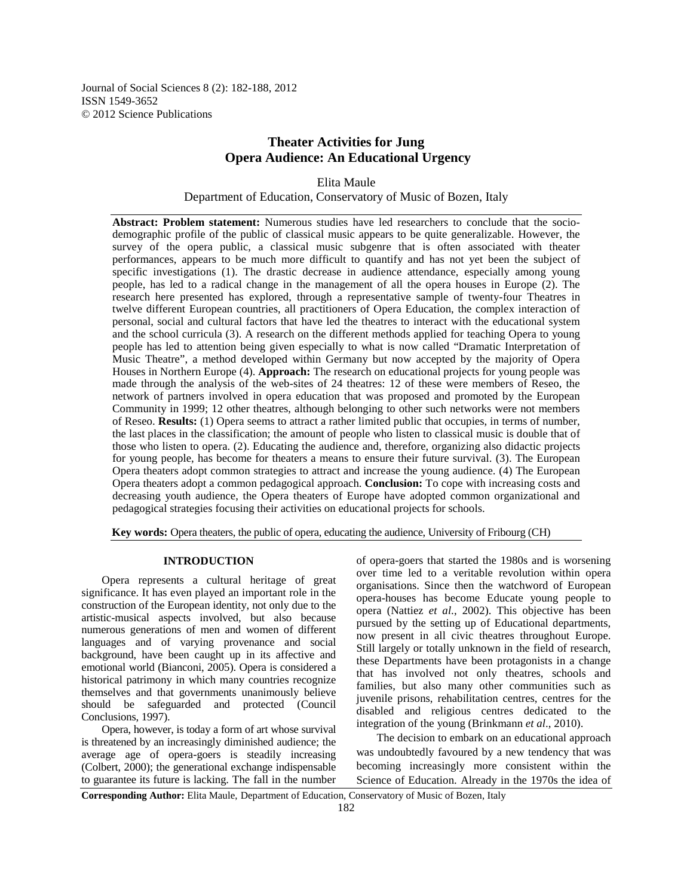Journal of Social Sciences 8 (2): 182-188, 2012 ISSN 1549-3652 © 2012 Science Publications

# **Theater Activities for Jung Opera Audience: An Educational Urgency**

Elita Maule

Department of Education, Conservatory of Music of Bozen, Italy

**Abstract: Problem statement:** Numerous studies have led researchers to conclude that the sociodemographic profile of the public of classical music appears to be quite generalizable. However, the survey of the opera public, a classical music subgenre that is often associated with theater performances, appears to be much more difficult to quantify and has not yet been the subject of specific investigations (1). The drastic decrease in audience attendance, especially among young people, has led to a radical change in the management of all the opera houses in Europe (2). The research here presented has explored, through a representative sample of twenty-four Theatres in twelve different European countries, all practitioners of Opera Education, the complex interaction of personal, social and cultural factors that have led the theatres to interact with the educational system and the school curricula (3). A research on the different methods applied for teaching Opera to young people has led to attention being given especially to what is now called "Dramatic Interpretation of Music Theatre", a method developed within Germany but now accepted by the majority of Opera Houses in Northern Europe (4). **Approach:** The research on educational projects for young people was made through the analysis of the web-sites of 24 theatres: 12 of these were members of Reseo, the network of partners involved in opera education that was proposed and promoted by the European Community in 1999; 12 other theatres, although belonging to other such networks were not members of Reseo. **Results:** (1) Opera seems to attract a rather limited public that occupies, in terms of number, the last places in the classification; the amount of people who listen to classical music is double that of those who listen to opera. (2). Educating the audience and, therefore, organizing also didactic projects for young people, has become for theaters a means to ensure their future survival. (3). The European Opera theaters adopt common strategies to attract and increase the young audience. (4) The European Opera theaters adopt a common pedagogical approach. **Conclusion:** To cope with increasing costs and decreasing youth audience, the Opera theaters of Europe have adopted common organizational and pedagogical strategies focusing their activities on educational projects for schools.

**Key words:** Opera theaters, the public of opera, educating the audience, University of Fribourg (CH)

## **INTRODUCTION**

 Opera represents a cultural heritage of great significance. It has even played an important role in the construction of the European identity, not only due to the artistic-musical aspects involved, but also because numerous generations of men and women of different languages and of varying provenance and social background, have been caught up in its affective and emotional world (Bianconi, 2005). Opera is considered a historical patrimony in which many countries recognize themselves and that governments unanimously believe should be safeguarded and protected (Council Conclusions, 1997).

 Opera, however, is today a form of art whose survival is threatened by an increasingly diminished audience; the average age of opera-goers is steadily increasing (Colbert, 2000); the generational exchange indispensable to guarantee its future is lacking. The fall in the number

of opera-goers that started the 1980s and is worsening over time led to a veritable revolution within opera organisations. Since then the watchword of European opera-houses has become Educate young people to opera (Nattiez *et al*., 2002). This objective has been pursued by the setting up of Educational departments, now present in all civic theatres throughout Europe. Still largely or totally unknown in the field of research, these Departments have been protagonists in a change that has involved not only theatres, schools and families, but also many other communities such as juvenile prisons, rehabilitation centres, centres for the disabled and religious centres dedicated to the integration of the young (Brinkmann *et al*., 2010).

 The decision to embark on an educational approach was undoubtedly favoured by a new tendency that was becoming increasingly more consistent within the Science of Education. Already in the 1970s the idea of

**Corresponding Author:** Elita Maule, Department of Education, Conservatory of Music of Bozen, Italy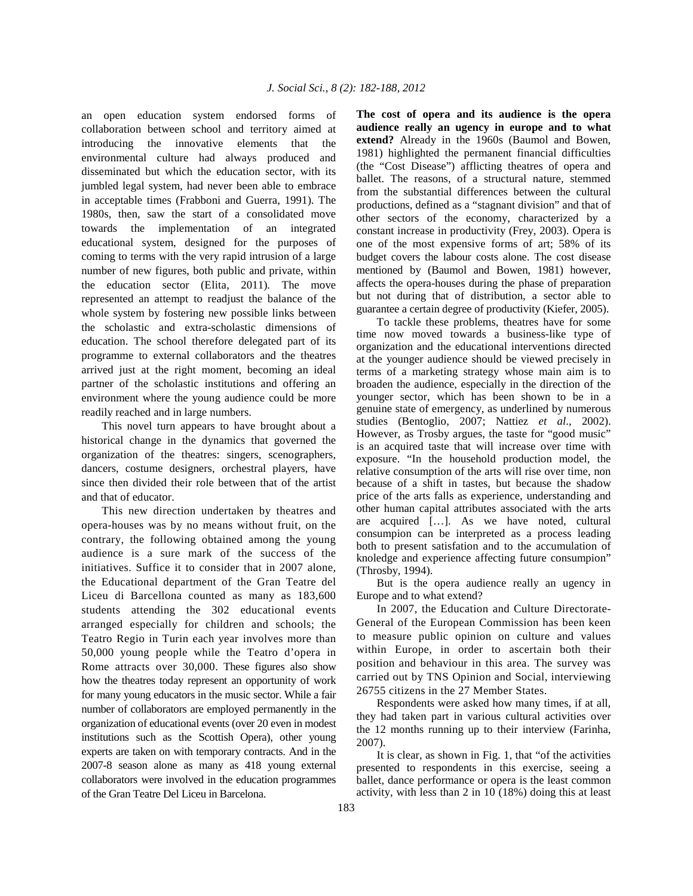an open education system endorsed forms of collaboration between school and territory aimed at introducing the innovative elements that the environmental culture had always produced and disseminated but which the education sector, with its jumbled legal system, had never been able to embrace in acceptable times (Frabboni and Guerra, 1991). The 1980s, then, saw the start of a consolidated move towards the implementation of an integrated educational system, designed for the purposes of coming to terms with the very rapid intrusion of a large number of new figures, both public and private, within the education sector (Elita, 2011)*.* The move represented an attempt to readjust the balance of the whole system by fostering new possible links between the scholastic and extra-scholastic dimensions of education. The school therefore delegated part of its programme to external collaborators and the theatres arrived just at the right moment, becoming an ideal partner of the scholastic institutions and offering an environment where the young audience could be more readily reached and in large numbers.

 This novel turn appears to have brought about a historical change in the dynamics that governed the organization of the theatres: singers, scenographers, dancers, costume designers, orchestral players, have since then divided their role between that of the artist and that of educator.

 This new direction undertaken by theatres and opera-houses was by no means without fruit, on the contrary, the following obtained among the young audience is a sure mark of the success of the initiatives. Suffice it to consider that in 2007 alone, the Educational department of the Gran Teatre del Liceu di Barcellona counted as many as 183,600 students attending the 302 educational events arranged especially for children and schools; the Teatro Regio in Turin each year involves more than 50,000 young people while the Teatro d'opera in Rome attracts over 30,000. These figures also show how the theatres today represent an opportunity of work for many young educators in the music sector. While a fair number of collaborators are employed permanently in the organization of educational events (over 20 even in modest institutions such as the Scottish Opera), other young experts are taken on with temporary contracts. And in the 2007-8 season alone as many as 418 young external collaborators were involved in the education programmes of the Gran Teatre Del Liceu in Barcelona.

**The cost of opera and its audience is the opera audience really an ugency in europe and to what extend?** Already in the 1960s (Baumol and Bowen, 1981) highlighted the permanent financial difficulties (the "Cost Disease") afflicting theatres of opera and ballet. The reasons, of a structural nature, stemmed from the substantial differences between the cultural productions, defined as a "stagnant division" and that of other sectors of the economy, characterized by a constant increase in productivity (Frey, 2003). Opera is one of the most expensive forms of art; 58% of its budget covers the labour costs alone. The cost disease mentioned by (Baumol and Bowen, 1981) however, affects the opera-houses during the phase of preparation but not during that of distribution, a sector able to guarantee a certain degree of productivity (Kiefer, 2005).

 To tackle these problems, theatres have for some time now moved towards a business-like type of organization and the educational interventions directed at the younger audience should be viewed precisely in terms of a marketing strategy whose main aim is to broaden the audience, especially in the direction of the younger sector, which has been shown to be in a genuine state of emergency, as underlined by numerous studies (Bentoglio, 2007; Nattiez *et al*., 2002). However, as Trosby argues, the taste for "good music" is an acquired taste that will increase over time with exposure. "In the household production model, the relative consumption of the arts will rise over time, non because of a shift in tastes, but because the shadow price of the arts falls as experience, understanding and other human capital attributes associated with the arts are acquired […]. As we have noted, cultural consumpion can be interpreted as a process leading both to present satisfation and to the accumulation of knoledge and experience affecting future consumpion" (Throsby, 1994).

 But is the opera audience really an ugency in Europe and to what extend?

 In 2007, the Education and Culture Directorate-General of the European Commission has been keen to measure public opinion on culture and values within Europe, in order to ascertain both their position and behaviour in this area. The survey was carried out by TNS Opinion and Social, interviewing 26755 citizens in the 27 Member States.

 Respondents were asked how many times, if at all, they had taken part in various cultural activities over the 12 months running up to their interview (Farinha, 2007).

 It is clear, as shown in Fig. 1, that "of the activities presented to respondents in this exercise, seeing a ballet, dance performance or opera is the least common activity, with less than 2 in 10 (18%) doing this at least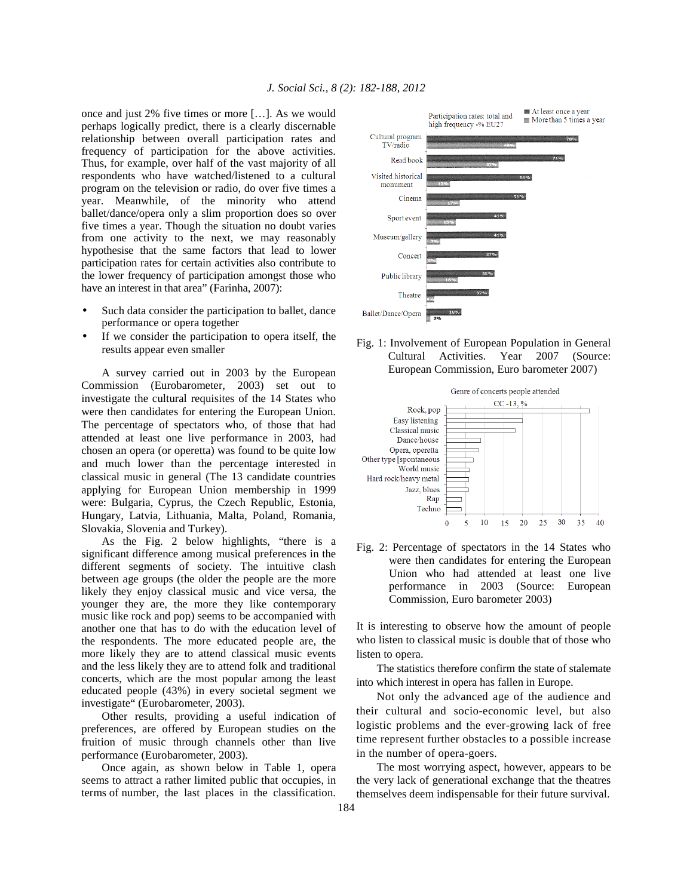once and just 2% five times or more […]. As we would perhaps logically predict, there is a clearly discernable relationship between overall participation rates and frequency of participation for the above activities. Thus, for example, over half of the vast majority of all respondents who have watched/listened to a cultural program on the television or radio, do over five times a year. Meanwhile, of the minority who attend ballet/dance/opera only a slim proportion does so over five times a year. Though the situation no doubt varies from one activity to the next, we may reasonably hypothesise that the same factors that lead to lower participation rates for certain activities also contribute to the lower frequency of participation amongst those who have an interest in that area" (Farinha, 2007):

- Such data consider the participation to ballet, dance performance or opera together
- If we consider the participation to opera itself, the results appear even smaller

 A survey carried out in 2003 by the European Commission (Eurobarometer, 2003) set out to investigate the cultural requisites of the 14 States who were then candidates for entering the European Union. The percentage of spectators who, of those that had attended at least one live performance in 2003, had chosen an opera (or operetta) was found to be quite low and much lower than the percentage interested in classical music in general (The 13 candidate countries applying for European Union membership in 1999 were: Bulgaria, Cyprus, the Czech Republic, Estonia, Hungary, Latvia, Lithuania, Malta, Poland, Romania, Slovakia, Slovenia and Turkey).

 As the Fig. 2 below highlights, "there is a significant difference among musical preferences in the different segments of society. The intuitive clash between age groups (the older the people are the more likely they enjoy classical music and vice versa, the younger they are, the more they like contemporary music like rock and pop) seems to be accompanied with another one that has to do with the education level of the respondents. The more educated people are, the more likely they are to attend classical music events and the less likely they are to attend folk and traditional concerts, which are the most popular among the least educated people (43%) in every societal segment we investigate" (Eurobarometer, 2003).

 Other results, providing a useful indication of preferences, are offered by European studies on the fruition of music through channels other than live performance (Eurobarometer, 2003).

 Once again, as shown below in Table 1, opera seems to attract a rather limited public that occupies, in terms of number, the last places in the classification.



Fig. 1: Involvement of European Population in General Cultural Activities. Year 2007 (Source: European Commission, Euro barometer 2007)



Fig. 2: Percentage of spectators in the 14 States who were then candidates for entering the European Union who had attended at least one live performance in 2003 (Source: European Commission, Euro barometer 2003)

It is interesting to observe how the amount of people who listen to classical music is double that of those who listen to opera.

 The statistics therefore confirm the state of stalemate into which interest in opera has fallen in Europe.

 Not only the advanced age of the audience and their cultural and socio-economic level, but also logistic problems and the ever-growing lack of free time represent further obstacles to a possible increase in the number of opera-goers.

 The most worrying aspect, however, appears to be the very lack of generational exchange that the theatres themselves deem indispensable for their future survival.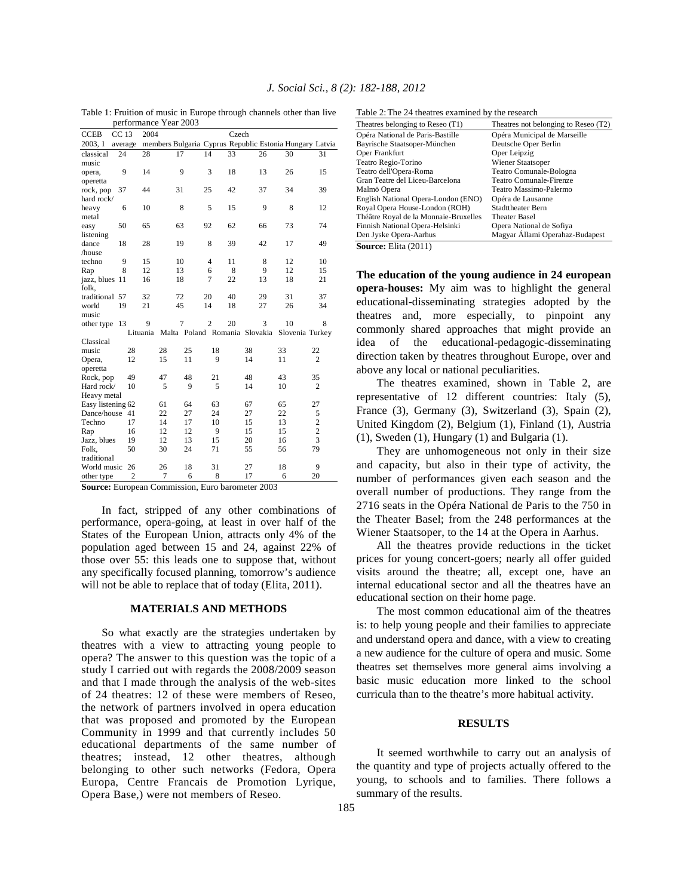| <b>CCEB</b>             | CC 13          |    | 2004           |                |                | Czech |                                        |    |                                                         |
|-------------------------|----------------|----|----------------|----------------|----------------|-------|----------------------------------------|----|---------------------------------------------------------|
| 2003, 1                 | average        |    |                |                |                |       |                                        |    | members Bulgaria Cyprus Republic Estonia Hungary Latvia |
| classical               | 24             | 28 |                | 17             | 14             | 33    | 26                                     | 30 | 31                                                      |
| music                   |                |    |                |                |                |       |                                        |    |                                                         |
| opera,                  | 9              | 14 |                | 9              | 3              | 18    | 13                                     | 26 | 15                                                      |
| operetta                |                |    |                |                |                |       |                                        |    |                                                         |
| rock, pop               | 37             | 44 |                | 31             | 25             | 42    | 37                                     | 34 | 39                                                      |
| hard rock/              |                |    |                |                |                |       |                                        |    |                                                         |
| heavy                   | 6              | 10 |                | 8              | 5              | 15    | 9                                      | 8  | 12                                                      |
| metal                   |                |    |                |                |                |       |                                        |    |                                                         |
| easy                    | 50             | 65 |                | 63             | 92             | 62    | 66                                     | 73 | 74                                                      |
| listening               |                |    |                |                |                |       |                                        |    |                                                         |
| dance                   | 18             | 28 |                | 19             | 8              | 39    | 42                                     | 17 | 49                                                      |
| /house                  |                |    |                |                |                |       |                                        |    |                                                         |
| techno                  | 9              | 15 |                | 10             | $\overline{4}$ | 11    | 8                                      | 12 | 10                                                      |
| Rap                     | 8              | 12 |                | 13             | 6              | 8     | 9                                      | 12 | 15                                                      |
| jazz, blues 11<br>folk, |                | 16 |                | 18             | $\overline{7}$ | 22    | 13                                     | 18 | 21                                                      |
| traditional 57          |                | 32 |                | 72             | 20             | 40    | 29                                     | 31 | 37                                                      |
| world                   | 19             | 21 |                | 45             | 14             | 18    | 27                                     | 26 | 34                                                      |
| music                   |                |    |                |                |                |       |                                        |    |                                                         |
| other type              | 13             | 9  |                | $\overline{7}$ | $\mathfrak{D}$ | 20    | 3                                      | 10 | 8                                                       |
|                         |                |    |                |                |                |       | Lituania Malta Poland Romania Slovakia |    | Slovenia Turkey                                         |
| Classical               |                |    |                |                |                |       |                                        |    |                                                         |
| music                   | 28             |    | 28             | 25             | 18             |       | 38                                     | 33 | 22                                                      |
| Opera,                  | 12             |    | 15             | 11             | 9              |       | 14                                     | 11 | $\overline{c}$                                          |
| operetta                |                |    |                |                |                |       |                                        |    |                                                         |
| Rock, pop               | 49             |    | 47             | 48             | 21             |       | 48                                     | 43 | 35                                                      |
| Hard rock/              | 10             |    | 5              | 9              | 5              |       | 14                                     | 10 | $\overline{c}$                                          |
| Heavy metal             |                |    |                |                |                |       |                                        |    |                                                         |
| Easy listening 62       |                |    | 61             | 64             | 63             |       | 67                                     | 65 | 27                                                      |
| Dance/house             | 41             |    | 22             | 27             | 24             |       | 27                                     | 22 | 5                                                       |
| Techno                  | 17             |    | 14             | 17             | 10             |       | 15                                     | 13 | $\overline{c}$                                          |
| Rap                     | 16             |    | 12             | 12             | 9              |       | 15                                     | 15 | $\overline{c}$                                          |
| Jazz, blues             | 19             |    | 12             | 13             | 15             |       | 20                                     | 16 | 3                                                       |
| Folk,                   | 50             |    | 30             | 24             | 71             |       | 55                                     | 56 | 79                                                      |
| traditional             |                |    |                |                |                |       |                                        |    |                                                         |
| World music             | 26             |    | 26             | 18             | 31             |       | 27                                     | 18 | 9                                                       |
| other type              | $\overline{c}$ |    | $\overline{7}$ | 6              | 8              |       | 17                                     | 6  | 20                                                      |

Table 1: Fruition of music in Europe through channels other than live performance Year 2003

**Source:** European Commission, Euro barometer 2003

 In fact, stripped of any other combinations of performance, opera-going, at least in over half of the States of the European Union, attracts only 4% of the population aged between 15 and 24, against 22% of those over 55: this leads one to suppose that, without any specifically focused planning, tomorrow's audience will not be able to replace that of today (Elita, 2011).

#### **MATERIALS AND METHODS**

 So what exactly are the strategies undertaken by theatres with a view to attracting young people to opera? The answer to this question was the topic of a study I carried out with regards the 2008/2009 season and that I made through the analysis of the web-sites of 24 theatres: 12 of these were members of Reseo, the network of partners involved in opera education that was proposed and promoted by the European Community in 1999 and that currently includes 50 educational departments of the same number of theatres; instead, 12 other theatres, although belonging to other such networks (Fedora, Opera Europa, Centre Francais de Promotion Lyrique, Opera Base,) were not members of Reseo.

Table 2: The 24 theatres examined by the research Theatres belonging to Reseo (T1) Theatres not belonging to Reseo (T2) Opéra National de Paris-Bastille Opéra Municipal de Marseille Bayrische Staatsoper-München Oper Frankfurt Oper Leipzig Teatro Regio-Torino Wiener Staatsoper Teatro dell'Opera-Roma Teatro Comunale-Bologna Gran Teatre del Liceu-Barcelona Teatro Comunale-Firenze Malmö Opera Teatro Massimo-Palermo English National Opera-London (ENO) Opéra de Lausanne Royal Opera House-London (ROH) Stadttheater Bern<br>Théâtre Royal de la Monnaie-Bruxelles Theater Basel Théâtre Royal de la Monnaie-Bruxelles Finnish National Opera-Helsinki Opera National de Sofiya Magyar Állami Operahaz-Budapest

**Source:** Elita (2011)

**The education of the young audience in 24 european opera-houses:** My aim was to highlight the general educational-disseminating strategies adopted by the theatres and, more especially, to pinpoint any commonly shared approaches that might provide an idea of the educational-pedagogic-disseminating direction taken by theatres throughout Europe, over and above any local or national peculiarities.

 The theatres examined, shown in Table 2, are representative of 12 different countries: Italy (5), France (3), Germany (3), Switzerland (3), Spain (2), United Kingdom (2), Belgium (1), Finland (1), Austria (1), Sweden (1), Hungary (1) and Bulgaria (1).

 They are unhomogeneous not only in their size and capacity, but also in their type of activity, the number of performances given each season and the overall number of productions. They range from the 2716 seats in the Opéra National de Paris to the 750 in the Theater Basel; from the 248 performances at the Wiener Staatsoper, to the 14 at the Opera in Aarhus.

 All the theatres provide reductions in the ticket prices for young concert-goers; nearly all offer guided visits around the theatre; all, except one, have an internal educational sector and all the theatres have an educational section on their home page.

 The most common educational aim of the theatres is: to help young people and their families to appreciate and understand opera and dance, with a view to creating a new audience for the culture of opera and music. Some theatres set themselves more general aims involving a basic music education more linked to the school curricula than to the theatre's more habitual activity.

#### **RESULTS**

 It seemed worthwhile to carry out an analysis of the quantity and type of projects actually offered to the young, to schools and to families. There follows a summary of the results.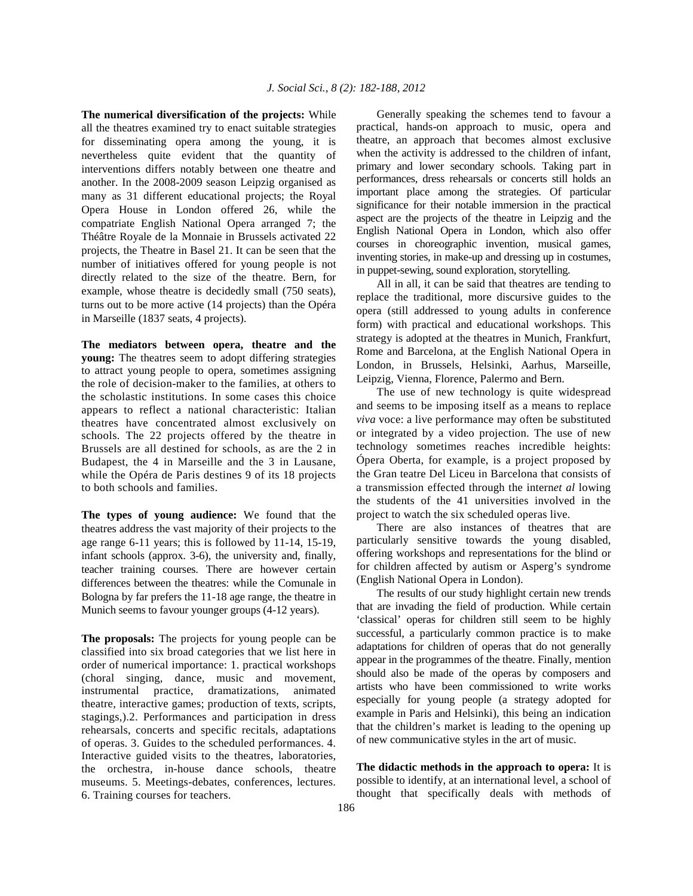**The numerical diversification of the projects:** While all the theatres examined try to enact suitable strategies for disseminating opera among the young, it is nevertheless quite evident that the quantity of interventions differs notably between one theatre and another. In the 2008-2009 season Leipzig organised as many as 31 different educational projects; the Royal Opera House in London offered 26, while the compatriate English National Opera arranged 7; the Théâtre Royale de la Monnaie in Brussels activated 22 projects, the Theatre in Basel 21. It can be seen that the number of initiatives offered for young people is not directly related to the size of the theatre. Bern, for example, whose theatre is decidedly small (750 seats), turns out to be more active (14 projects) than the Opéra in Marseille (1837 seats, 4 projects).

**The mediators between opera, theatre and the young:** The theatres seem to adopt differing strategies to attract young people to opera, sometimes assigning the role of decision-maker to the families, at others to the scholastic institutions. In some cases this choice appears to reflect a national characteristic: Italian theatres have concentrated almost exclusively on schools. The 22 projects offered by the theatre in Brussels are all destined for schools, as are the 2 in Budapest, the 4 in Marseille and the 3 in Lausane, while the Opéra de Paris destines 9 of its 18 projects to both schools and families.

**The types of young audience:** We found that the theatres address the vast majority of their projects to the age range 6-11 years; this is followed by 11-14, 15-19, infant schools (approx. 3-6), the university and, finally, teacher training courses. There are however certain differences between the theatres: while the Comunale in Bologna by far prefers the 11-18 age range, the theatre in Munich seems to favour younger groups (4-12 years).

**The proposals:** The projects for young people can be classified into six broad categories that we list here in order of numerical importance: 1. practical workshops (choral singing, dance, music and movement, instrumental practice, dramatizations, animated theatre, interactive games; production of texts, scripts, stagings,).2. Performances and participation in dress rehearsals, concerts and specific recitals, adaptations of operas. 3. Guides to the scheduled performances. 4. Interactive guided visits to the theatres, laboratories, the orchestra, in-house dance schools, theatre museums. 5. Meetings-debates, conferences, lectures. 6. Training courses for teachers.

 Generally speaking the schemes tend to favour a practical, hands-on approach to music, opera and theatre, an approach that becomes almost exclusive when the activity is addressed to the children of infant, primary and lower secondary schools. Taking part in performances, dress rehearsals or concerts still holds an important place among the strategies. Of particular significance for their notable immersion in the practical aspect are the projects of the theatre in Leipzig and the English National Opera in London, which also offer courses in choreographic invention, musical games, inventing stories, in make-up and dressing up in costumes, in puppet-sewing, sound exploration, storytelling.

 All in all, it can be said that theatres are tending to replace the traditional, more discursive guides to the opera (still addressed to young adults in conference form) with practical and educational workshops. This strategy is adopted at the theatres in Munich, Frankfurt, Rome and Barcelona, at the English National Opera in London, in Brussels, Helsinki, Aarhus, Marseille, Leipzig, Vienna, Florence, Palermo and Bern.

 The use of new technology is quite widespread and seems to be imposing itself as a means to replace *viva* voce: a live performance may often be substituted or integrated by a video projection. The use of new technology sometimes reaches incredible heights: Ópera Oberta, for example, is a project proposed by the Gran teatre Del Liceu in Barcelona that consists of a transmission effected through the intern*et al* lowing the students of the 41 universities involved in the project to watch the six scheduled operas live.

 There are also instances of theatres that are particularly sensitive towards the young disabled, offering workshops and representations for the blind or for children affected by autism or Asperg's syndrome (English National Opera in London).

 The results of our study highlight certain new trends that are invading the field of production. While certain 'classical' operas for children still seem to be highly successful, a particularly common practice is to make adaptations for children of operas that do not generally appear in the programmes of the theatre. Finally, mention should also be made of the operas by composers and artists who have been commissioned to write works especially for young people (a strategy adopted for example in Paris and Helsinki), this being an indication that the children's market is leading to the opening up of new communicative styles in the art of music.

**The didactic methods in the approach to opera:** It is possible to identify, at an international level, a school of thought that specifically deals with methods of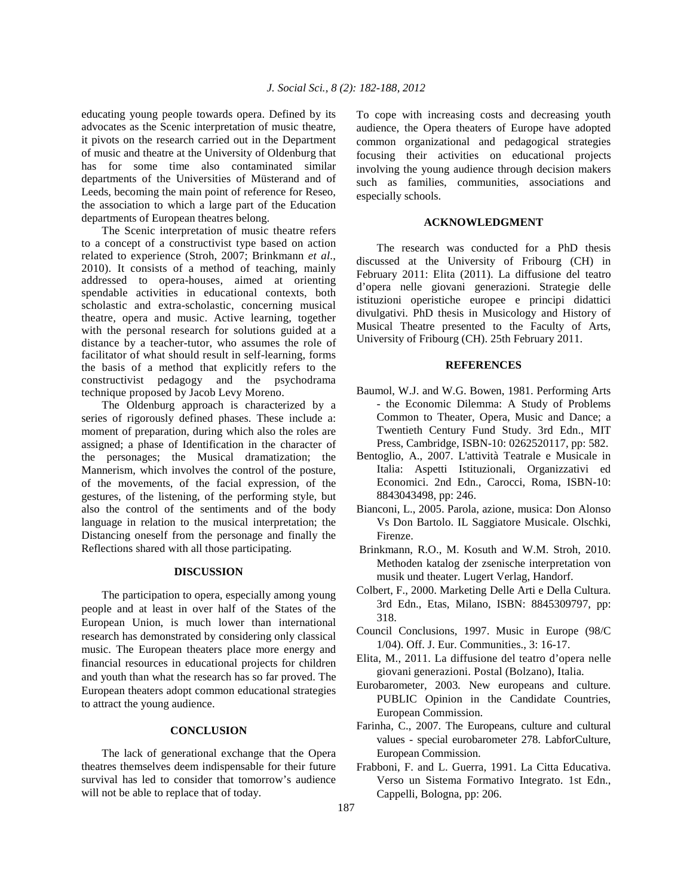educating young people towards opera. Defined by its advocates as the Scenic interpretation of music theatre, it pivots on the research carried out in the Department of music and theatre at the University of Oldenburg that has for some time also contaminated similar departments of the Universities of Müsterand and of Leeds, becoming the main point of reference for Reseo, the association to which a large part of the Education departments of European theatres belong.

 The Scenic interpretation of music theatre refers to a concept of a constructivist type based on action related to experience (Stroh, 2007; Brinkmann *et al*., 2010). It consists of a method of teaching, mainly addressed to opera-houses, aimed at orienting spendable activities in educational contexts, both scholastic and extra-scholastic, concerning musical theatre, opera and music. Active learning, together with the personal research for solutions guided at a distance by a teacher-tutor, who assumes the role of facilitator of what should result in self-learning, forms the basis of a method that explicitly refers to the constructivist pedagogy and the psychodrama technique proposed by Jacob Levy Moreno.

 The Oldenburg approach is characterized by a series of rigorously defined phases. These include a: moment of preparation, during which also the roles are assigned; a phase of Identification in the character of the personages; the Musical dramatization; the Mannerism, which involves the control of the posture, of the movements, of the facial expression, of the gestures, of the listening, of the performing style, but also the control of the sentiments and of the body language in relation to the musical interpretation; the Distancing oneself from the personage and finally the Reflections shared with all those participating.

## **DISCUSSION**

 The participation to opera, especially among young people and at least in over half of the States of the European Union, is much lower than international research has demonstrated by considering only classical music. The European theaters place more energy and financial resources in educational projects for children and youth than what the research has so far proved. The European theaters adopt common educational strategies to attract the young audience.

## **CONCLUSION**

 The lack of generational exchange that the Opera theatres themselves deem indispensable for their future survival has led to consider that tomorrow's audience will not be able to replace that of today.

To cope with increasing costs and decreasing youth audience, the Opera theaters of Europe have adopted common organizational and pedagogical strategies focusing their activities on educational projects involving the young audience through decision makers such as families, communities, associations and especially schools.

### **ACKNOWLEDGMENT**

 The research was conducted for a PhD thesis discussed at the University of Fribourg (CH) in February 2011: Elita (2011). La diffusione del teatro d'opera nelle giovani generazioni. Strategie delle istituzioni operistiche europee e principi didattici divulgativi. PhD thesis in Musicology and History of Musical Theatre presented to the Faculty of Arts, University of Fribourg (CH). 25th February 2011.

#### **REFERENCES**

- Baumol, W.J. and W.G. Bowen, 1981. Performing Arts - the Economic Dilemma: A Study of Problems Common to Theater, Opera, Music and Dance; a Twentieth Century Fund Study. 3rd Edn., MIT Press, Cambridge, ISBN-10: 0262520117, pp: 582.
- Bentoglio, A., 2007. L'attività Teatrale e Musicale in Italia: Aspetti Istituzionali, Organizzativi ed Economici. 2nd Edn., Carocci, Roma, ISBN-10: 8843043498, pp: 246.
- Bianconi, L., 2005. Parola, azione, musica: Don Alonso Vs Don Bartolo. IL Saggiatore Musicale. Olschki, Firenze.
- Brinkmann, R.O., M. Kosuth and W.M. Stroh, 2010. Methoden katalog der zsenische interpretation von musik und theater. Lugert Verlag, Handorf.
- Colbert, F., 2000. Marketing Delle Arti e Della Cultura. 3rd Edn., Etas, Milano, ISBN: 8845309797, pp: 318.
- Council Conclusions, 1997. Music in Europe (98/C 1/04). Off. J. Eur. Communities., 3: 16-17.
- Elita, M., 2011. La diffusione del teatro d'opera nelle giovani generazioni. Postal (Bolzano), Italia.
- Eurobarometer, 2003*.* New europeans and culture. PUBLIC Opinion in the Candidate Countries, European Commission.
- Farinha, C., 2007. The Europeans, culture and cultural values - special eurobarometer 278. LabforCulture, European Commission.
- Frabboni, F. and L. Guerra, 1991. La Citta Educativa. Verso un Sistema Formativo Integrato. 1st Edn., Cappelli, Bologna, pp: 206.